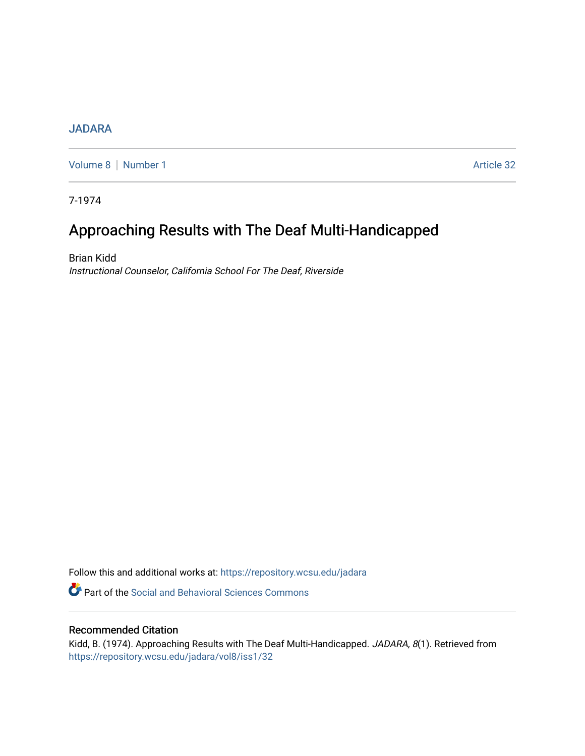## **[JADARA](https://repository.wcsu.edu/jadara)**

[Volume 8](https://repository.wcsu.edu/jadara/vol8) | [Number 1](https://repository.wcsu.edu/jadara/vol8/iss1) Article 32

7-1974

# Approaching Results with The Deaf Multi-Handicapped

Brian Kidd Instructional Counselor, California School For The Deaf, Riverside

Follow this and additional works at: [https://repository.wcsu.edu/jadara](https://repository.wcsu.edu/jadara?utm_source=repository.wcsu.edu%2Fjadara%2Fvol8%2Fiss1%2F32&utm_medium=PDF&utm_campaign=PDFCoverPages)

**P** Part of the Social and Behavioral Sciences Commons

### Recommended Citation

Kidd, B. (1974). Approaching Results with The Deaf Multi-Handicapped. JADARA, 8(1). Retrieved from [https://repository.wcsu.edu/jadara/vol8/iss1/32](https://repository.wcsu.edu/jadara/vol8/iss1/32?utm_source=repository.wcsu.edu%2Fjadara%2Fvol8%2Fiss1%2F32&utm_medium=PDF&utm_campaign=PDFCoverPages)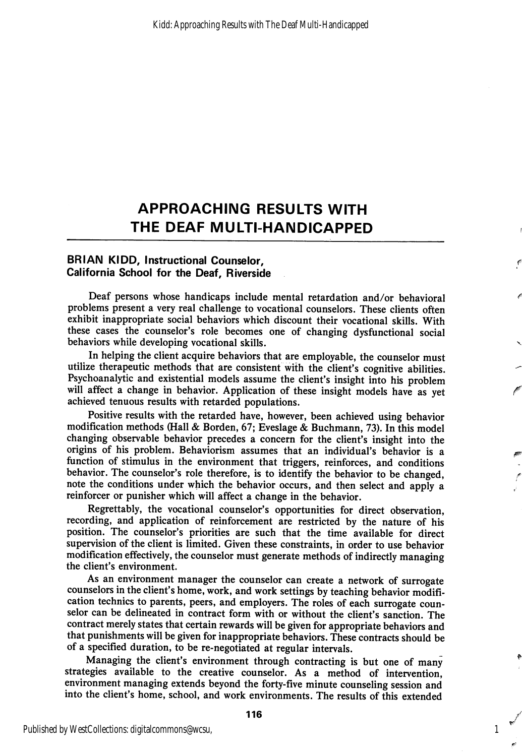# APPROACHING RESULTS WITH THE DEAF MULTI-HANDICAPPED

### BRIAN KIDD, Instructional Counselor, California School for the Deaf, Riverside

Deaf persons whose handicaps include mental retardation and/or behavioral problems present a very real challenge to vocational counselors. These clients often exhibit inappropriate social behaviors which discount their vocational skills. With these cases the counselor's role becomes one of changing dysfunctional social behaviors while developing vocational skills.

In helping the client acquire behaviors that are employable, the counselor must utilize therapeutic methods that are consistent with the client's cognitive abilities. Psychoanalytic and existential models assume the client's insight into his problem will affect a change in behavior. Application of these insight models have as yet achieved tenuous results with retarded populations.

Positive results with the retarded have, however, been achieved using behavior modification methods (Hall & Borden, 67; Eveslage & Buchmann, 73). In this model changing observable behavior precedes a concern for the client's insight into the origins of his problem. Behaviorism assumes that an individual's behavior is a function of stimulus in the environment that triggers, reinforces, and conditions behavior. The counselor's role therefore, is to identify the behavior to be changed, note the conditions under which the behavior occurs, and then select and apply a reinforcer or punisher which will affect a change in the behavior.

Regrettably, the vocational counselor's opportunities for direct observation, recording, and application of reinforcement are restricted by the nature of his position. The counselor's priorities are such that the time available for direct supervision of the client is limited. Given these constraints, in order to use behavior modification effectively, the counselor must generate methods of indirectly managing the client's environment.

As an environment manager the counselor can create a network of surrogate counselors in the client's home, work, and work settings by teaching behavior modifi cation technics to parents, peers, and employers. The roles of each surrogate coun selor can be delineated in contract form with or without the client's sanction. The contract merely states that certain rewards will be given for appropriate behaviors and that punishments will be given for inappropriate behaviors. These contracts should be of a specified duration, to be re-negotiated at regular intervals.

Managing the client's environment through contracting is but one of many strategies available to the creative counselor. As a method of intervention, environment managing extends beyond the forty-five minute counseling session and into the client's home, school, and work environments. The results of this extended

116

1